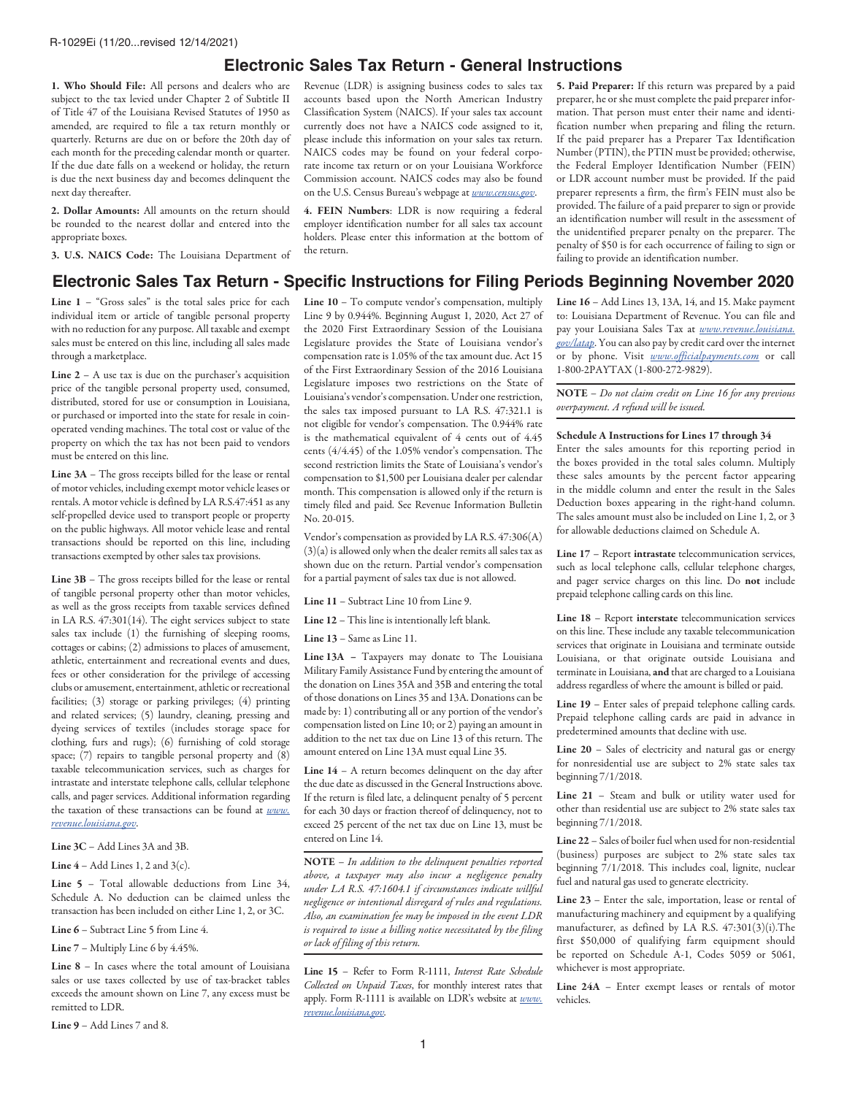## **Electronic Sales Tax Return - General Instructions**

1. Who Should File: All persons and dealers who are subject to the tax levied under Chapter 2 of Subtitle II of Title 47 of the Louisiana Revised Statutes of 1950 as amended, are required to file a tax return monthly or quarterly. Returns are due on or before the 20th day of each month for the preceding calendar month or quarter. If the due date falls on a weekend or holiday, the return is due the next business day and becomes delinquent the next day thereafter.

2. Dollar Amounts: All amounts on the return should be rounded to the nearest dollar and entered into the appropriate boxes.

3. U.S. NAICS Code: The Louisiana Department of

Revenue (LDR) is assigning business codes to sales tax accounts based upon the North American Industry Classification System (NAICS). If your sales tax account currently does not have a NAICS code assigned to it, please include this information on your sales tax return. NAICS codes may be found on your federal corporate income tax return or on your Louisiana Workforce Commission account. NAICS codes may also be found on the U.S. Census Bureau's webpage at *[www.census.gov](http://www.census.gov)*.

4. FEIN Numbers: LDR is now requiring a federal employer identification number for all sales tax account holders. Please enter this information at the bottom of the return.

5. Paid Preparer: If this return was prepared by a paid preparer, he or she must complete the paid preparer information. That person must enter their name and identification number when preparing and filing the return. If the paid preparer has a Preparer Tax Identification Number (PTIN), the PTIN must be provided; otherwise, the Federal Employer Identification Number (FEIN) or LDR account number must be provided. If the paid preparer represents a firm, the firm's FEIN must also be provided. The failure of a paid preparer to sign or provide an identification number will result in the assessment of the unidentified preparer penalty on the preparer. The penalty of \$50 is for each occurrence of failing to sign or failing to provide an identification number.

# **Electronic Sales Tax Return - Specific Instructions for Filing Periods Beginning November 2020**

Line  $1$  – "Gross sales" is the total sales price for each individual item or article of tangible personal property with no reduction for any purpose. All taxable and exempt sales must be entered on this line, including all sales made through a marketplace.

Line  $2 - A$  use tax is due on the purchaser's acquisition price of the tangible personal property used, consumed, distributed, stored for use or consumption in Louisiana, or purchased or imported into the state for resale in coinoperated vending machines. The total cost or value of the property on which the tax has not been paid to vendors must be entered on this line.

Line 3A – The gross receipts billed for the lease or rental of motor vehicles, including exempt motor vehicle leases or rentals. A motor vehicle is defined by LA R.S.47:451 as any self-propelled device used to transport people or property on the public highways. All motor vehicle lease and rental transactions should be reported on this line, including transactions exempted by other sales tax provisions.

Line 3B – The gross receipts billed for the lease or rental of tangible personal property other than motor vehicles, as well as the gross receipts from taxable services defined in LA R.S. 47:301(14). The eight services subject to state sales tax include (1) the furnishing of sleeping rooms, cottages or cabins; (2) admissions to places of amusement, athletic, entertainment and recreational events and dues, fees or other consideration for the privilege of accessing clubs or amusement, entertainment, athletic or recreational facilities; (3) storage or parking privileges; (4) printing and related services; (5) laundry, cleaning, pressing and dyeing services of textiles (includes storage space for clothing, furs and rugs); (6) furnishing of cold storage space; (7) repairs to tangible personal property and (8) taxable telecommunication services, such as charges for intrastate and interstate telephone calls, cellular telephone calls, and pager services. Additional information regarding the taxation of these transactions can be found at *[www.](http://www.revenue.louisiana.gov) [revenue.louisiana.gov](http://www.revenue.louisiana.gov)*.

Line 3C – Add Lines 3A and 3B.

Line  $4 -$  Add Lines 1, 2 and  $3(c)$ .

Line 5 – Total allowable deductions from Line 34, Schedule A. No deduction can be claimed unless the transaction has been included on either Line 1, 2, or 3C.

Line 6 – Subtract Line 5 from Line 4.

Line 7 – Multiply Line 6 by 4.45%.

Line 8 – In cases where the total amount of Louisiana sales or use taxes collected by use of tax-bracket tables exceeds the amount shown on Line 7, any excess must be remitted to LDR.

Line 9 – Add Lines 7 and 8.

Line 10 – To compute vendor's compensation, multiply Line 9 by 0.944%. Beginning August 1, 2020, Act 27 of the 2020 First Extraordinary Session of the Louisiana Legislature provides the State of Louisiana vendor's compensation rate is 1.05% of the tax amount due. Act 15 of the First Extraordinary Session of the 2016 Louisiana Legislature imposes two restrictions on the State of Louisiana's vendor's compensation. Under one restriction, the sales tax imposed pursuant to LA R.S. 47:321.1 is not eligible for vendor's compensation. The 0.944% rate is the mathematical equivalent of 4 cents out of 4.45 cents (4/4.45) of the 1.05% vendor's compensation. The second restriction limits the State of Louisiana's vendor's compensation to \$1,500 per Louisiana dealer per calendar month. This compensation is allowed only if the return is timely filed and paid. See Revenue Information Bulletin No. 20-015.

Vendor's compensation as provided by LA R.S. 47:306(A) (3)(a) is allowed only when the dealer remits all sales tax as shown due on the return. Partial vendor's compensation for a partial payment of sales tax due is not allowed.

Line 11 – Subtract Line 10 from Line 9.

Line 12 – This line is intentionally left blank.

Line 13 – Same as Line 11.

Line 13A – Taxpayers may donate to The Louisiana Military Family Assistance Fund by entering the amount of the donation on Lines 35A and 35B and entering the total of those donations on Lines 35 and 13A. Donations can be made by: 1) contributing all or any portion of the vendor's compensation listed on Line 10; or  $2$ ) paying an amount in addition to the net tax due on Line 13 of this return. The amount entered on Line 13A must equal Line 35.

Line 14 – A return becomes delinquent on the day after the due date as discussed in the General Instructions above. If the return is filed late, a delinquent penalty of 5 percent for each 30 days or fraction thereof of delinquency, not to exceed 25 percent of the net tax due on Line 13, must be entered on Line 14.

NOTE – *In addition to the delinquent penalties reported above, a taxpayer may also incur a negligence penalty under LA R.S. 47:1604.1 if circumstances indicate willful negligence or intentional disregard of rules and regulations. Also, an examination fee may be imposed in the event LDR is required to issue a billing notice necessitated by the filing or lack of filing of this return.*

Line 15 – Refer to Form R-1111, *Interest Rate Schedule Collected on Unpaid Taxes*, for monthly interest rates that apply. Form R-1111 is available on LDR's website at *[www.](http://www.revenue.louisiana.gov) [revenue.louisiana.gov.](http://www.revenue.louisiana.gov)*

Line 16 – Add Lines 13, 13A, 14, and 15. Make payment to: Louisiana Department of Revenue. You can file and pay your Louisiana Sales Tax at *[www.revenue.louisiana.](http://www.revenue.louisiana.gov/latap) [gov/latap](http://www.revenue.louisiana.gov/latap)*. You can also pay by credit card over the internet or by phone. Visit *[www.officialpayments.com](http://www.officialpayments.com)* or call 1-800-2PAYTAX (1-800-272-9829).

NOTE – *Do not claim credit on Line 16 for any previous overpayment. A refund will be issued.*

### Schedule A Instructions for Lines 17 through 34

Enter the sales amounts for this reporting period in the boxes provided in the total sales column. Multiply these sales amounts by the percent factor appearing in the middle column and enter the result in the Sales Deduction boxes appearing in the right-hand column. The sales amount must also be included on Line 1, 2, or 3 for allowable deductions claimed on Schedule A.

Line 17 – Report intrastate telecommunication services, such as local telephone calls, cellular telephone charges, and pager service charges on this line. Do not include prepaid telephone calling cards on this line.

Line 18 – Report interstate telecommunication services on this line. These include any taxable telecommunication services that originate in Louisiana and terminate outside Louisiana, or that originate outside Louisiana and terminate in Louisiana, and that are charged to a Louisiana address regardless of where the amount is billed or paid.

Line 19 – Enter sales of prepaid telephone calling cards. Prepaid telephone calling cards are paid in advance in predetermined amounts that decline with use.

Line 20 – Sales of electricity and natural gas or energy for nonresidential use are subject to 2% state sales tax beginning 7/1/2018.

Line 21 – Steam and bulk or utility water used for other than residential use are subject to 2% state sales tax beginning 7/1/2018.

Line 22 – Sales of boiler fuel when used for non-residential (business) purposes are subject to 2% state sales tax beginning 7/1/2018. This includes coal, lignite, nuclear fuel and natural gas used to generate electricity.

Line 23 – Enter the sale, importation, lease or rental of manufacturing machinery and equipment by a qualifying manufacturer, as defined by LA R.S. 47:301(3)(i).The first \$50,000 of qualifying farm equipment should be reported on Schedule A-1, Codes 5059 or 5061, whichever is most appropriate.

Line 24A – Enter exempt leases or rentals of motor vehicles.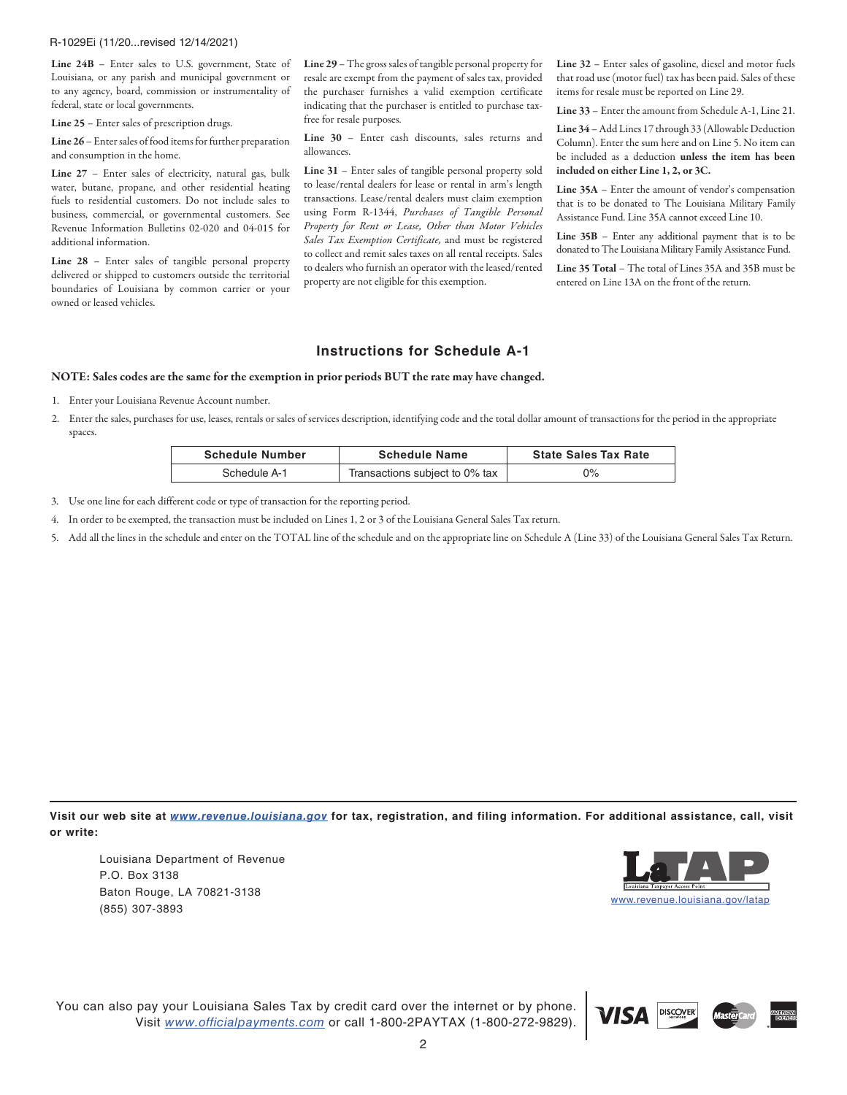#### R-1029Ei (11/20...revised 12/14/2021)

Line 24B - Enter sales to U.S. government, State of Louisiana, or any parish and municipal government or to any agency, board, commission or instrumentality of federal, state or local governments.

Line 25 – Enter sales of prescription drugs.

Line 26 – Enter sales of food items for further preparation and consumption in the home.

Line 27 – Enter sales of electricity, natural gas, bulk water, butane, propane, and other residential heating fuels to residential customers. Do not include sales to business, commercial, or governmental customers. See Revenue Information Bulletins 02-020 and 04-015 for additional information.

Line 28 – Enter sales of tangible personal property delivered or shipped to customers outside the territorial boundaries of Louisiana by common carrier or your owned or leased vehicles.

Line 29 – The gross sales of tangible personal property for resale are exempt from the payment of sales tax, provided the purchaser furnishes a valid exemption certificate indicating that the purchaser is entitled to purchase taxfree for resale purposes.

Line 30 – Enter cash discounts, sales returns and allowances.

Line 31 – Enter sales of tangible personal property sold to lease/rental dealers for lease or rental in arm's length transactions. Lease/rental dealers must claim exemption using Form R-1344, *Purchases of Tangible Personal Property for Rent or Lease, Other than Motor Vehicles Sales Tax Exemption Certificate,* and must be registered to collect and remit sales taxes on all rental receipts. Sales to dealers who furnish an operator with the leased/rented property are not eligible for this exemption.

Line 32 – Enter sales of gasoline, diesel and motor fuels that road use (motor fuel) tax has been paid. Sales of these items for resale must be reported on Line 29.

Line 33 – Enter the amount from Schedule A-1, Line 21.

Line 34 – Add Lines 17 through 33 (Allowable Deduction Column). Enter the sum here and on Line 5. No item can be included as a deduction unless the item has been included on either Line 1, 2, or 3C.

Line 35A – Enter the amount of vendor's compensation that is to be donated to The Louisiana Military Family Assistance Fund. Line 35A cannot exceed Line 10.

Line  $35B$  – Enter any additional payment that is to be donated to The Louisiana Military Family Assistance Fund.

Line 35 Total – The total of Lines 35A and 35B must be entered on Line 13A on the front of the return.

## **Instructions for Schedule A-1**

#### NOTE: Sales codes are the same for the exemption in prior periods BUT the rate may have changed.

- 1. Enter your Louisiana Revenue Account number.
- 2. Enter the sales, purchases for use, leases, rentals or sales of services description, identifying code and the total dollar amount of transactions for the period in the appropriate spaces.

| <b>Schedule Number</b> | <b>Schedule Name</b>           | <b>State Sales Tax Rate</b> |
|------------------------|--------------------------------|-----------------------------|
| Schedule A-1           | Transactions subject to 0% tax | $0\%$                       |

- 3. Use one line for each different code or type of transaction for the reporting period.
- 4. In order to be exempted, the transaction must be included on Lines 1, 2 or 3 of the Louisiana General Sales Tax return.
- 5. Add all the lines in the schedule and enter on the TOTAL line of the schedule and on the appropriate line on Schedule A (Line 33) of the Louisiana General Sales Tax Return.

**Visit our web site at** *[www.revenue.louisiana.gov](http://www.revenue.louisiana.gov)* **for tax, registration, and filing information. For additional assistance, call, visit or write:**

Louisiana Department of Revenue P.O. Box 3138 Baton Rouge, LA 70821-3138 (855) 307-3893 [www.revenue.louisiana.gov/latap](http://www.revenue.louisiana.gov/latap)



You can also pay your Louisiana Sales Tax by credit card over the internet or by phone. Visit *[www.officialpayments.com](http://www.officialpayments.com)* or call 1-800-2PAYTAX (1-800-272-9829).

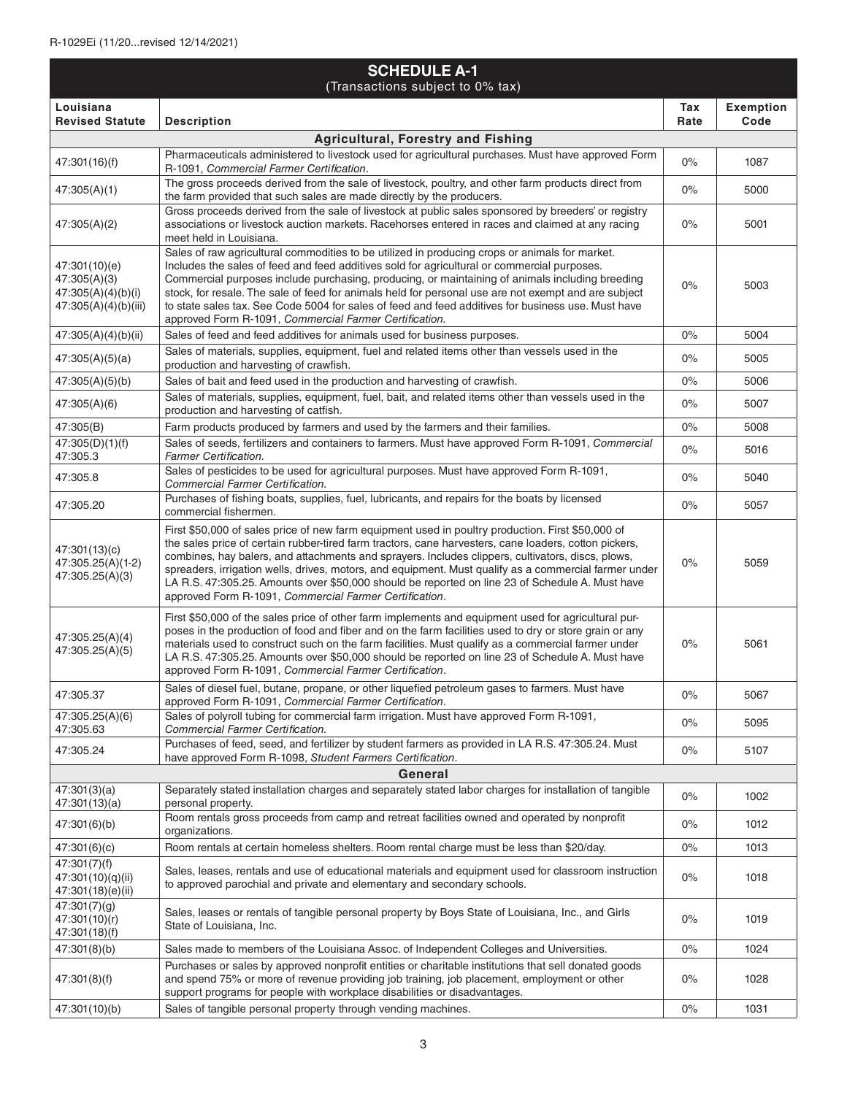| <b>SCHEDULE A-1</b><br>(Transactions subject to 0% tax)                     |                                                                                                                                                                                                                                                                                                                                                                                                                                                                                                                                                                                       |             |                          |
|-----------------------------------------------------------------------------|---------------------------------------------------------------------------------------------------------------------------------------------------------------------------------------------------------------------------------------------------------------------------------------------------------------------------------------------------------------------------------------------------------------------------------------------------------------------------------------------------------------------------------------------------------------------------------------|-------------|--------------------------|
| Louisiana<br><b>Revised Statute</b>                                         | <b>Description</b>                                                                                                                                                                                                                                                                                                                                                                                                                                                                                                                                                                    | Tax<br>Rate | <b>Exemption</b><br>Code |
|                                                                             | <b>Agricultural, Forestry and Fishing</b>                                                                                                                                                                                                                                                                                                                                                                                                                                                                                                                                             |             |                          |
| 47:301(16)(f)                                                               | Pharmaceuticals administered to livestock used for agricultural purchases. Must have approved Form<br>R-1091, Commercial Farmer Certification.                                                                                                                                                                                                                                                                                                                                                                                                                                        | 0%          | 1087                     |
| 47:305(A)(1)                                                                | The gross proceeds derived from the sale of livestock, poultry, and other farm products direct from<br>the farm provided that such sales are made directly by the producers.                                                                                                                                                                                                                                                                                                                                                                                                          | 0%          | 5000                     |
| 47:305(A)(2)                                                                | Gross proceeds derived from the sale of livestock at public sales sponsored by breeders' or registry<br>associations or livestock auction markets. Racehorses entered in races and claimed at any racing<br>meet held in Louisiana.                                                                                                                                                                                                                                                                                                                                                   | 0%          | 5001                     |
| 47:301(10)(e)<br>47:305(A)(3)<br>47:305(A)(4)(b)(i)<br>47:305(A)(4)(b)(iii) | Sales of raw agricultural commodities to be utilized in producing crops or animals for market.<br>Includes the sales of feed and feed additives sold for agricultural or commercial purposes.<br>Commercial purposes include purchasing, producing, or maintaining of animals including breeding<br>stock, for resale. The sale of feed for animals held for personal use are not exempt and are subject<br>to state sales tax. See Code 5004 for sales of feed and feed additives for business use. Must have<br>approved Form R-1091, Commercial Farmer Certification.              | 0%          | 5003                     |
| 47:305(A)(4)(b)(ii)                                                         | Sales of feed and feed additives for animals used for business purposes.                                                                                                                                                                                                                                                                                                                                                                                                                                                                                                              | 0%          | 5004                     |
| 47:305(A)(5)(a)                                                             | Sales of materials, supplies, equipment, fuel and related items other than vessels used in the<br>production and harvesting of crawfish.                                                                                                                                                                                                                                                                                                                                                                                                                                              | 0%          | 5005                     |
| 47:305(A)(5)(b)                                                             | Sales of bait and feed used in the production and harvesting of crawfish.                                                                                                                                                                                                                                                                                                                                                                                                                                                                                                             | 0%          | 5006                     |
| 47:305(A)(6)                                                                | Sales of materials, supplies, equipment, fuel, bait, and related items other than vessels used in the<br>production and harvesting of catfish.                                                                                                                                                                                                                                                                                                                                                                                                                                        | 0%          | 5007                     |
| 47:305(B)                                                                   | Farm products produced by farmers and used by the farmers and their families.                                                                                                                                                                                                                                                                                                                                                                                                                                                                                                         | 0%          | 5008                     |
| 47:305(D)(1)(f)<br>47:305.3                                                 | Sales of seeds, fertilizers and containers to farmers. Must have approved Form R-1091, Commercial<br>Farmer Certification.                                                                                                                                                                                                                                                                                                                                                                                                                                                            | 0%          | 5016                     |
| 47:305.8                                                                    | Sales of pesticides to be used for agricultural purposes. Must have approved Form R-1091,<br><b>Commercial Farmer Certification.</b>                                                                                                                                                                                                                                                                                                                                                                                                                                                  | 0%          | 5040                     |
| 47:305.20                                                                   | Purchases of fishing boats, supplies, fuel, lubricants, and repairs for the boats by licensed<br>commercial fishermen.                                                                                                                                                                                                                                                                                                                                                                                                                                                                | 0%          | 5057                     |
| 47:301(13)(c)<br>47:305.25(A)(1-2)<br>47:305.25(A)(3)                       | First \$50,000 of sales price of new farm equipment used in poultry production. First \$50,000 of<br>the sales price of certain rubber-tired farm tractors, cane harvesters, cane loaders, cotton pickers,<br>combines, hay balers, and attachments and sprayers. Includes clippers, cultivators, discs, plows,<br>spreaders, irrigation wells, drives, motors, and equipment. Must qualify as a commercial farmer under<br>LA R.S. 47:305.25. Amounts over \$50,000 should be reported on line 23 of Schedule A. Must have<br>approved Form R-1091, Commercial Farmer Certification. | $0\%$       | 5059                     |
| 47:305.25(A)(4)<br>47:305.25(A)(5)                                          | First \$50,000 of the sales price of other farm implements and equipment used for agricultural pur-<br>poses in the production of food and fiber and on the farm facilities used to dry or store grain or any<br>materials used to construct such on the farm facilities. Must qualify as a commercial farmer under<br>LA R.S. 47:305.25. Amounts over \$50,000 should be reported on line 23 of Schedule A. Must have<br>approved Form R-1091, Commercial Farmer Certification.                                                                                                      | 0%          | 5061                     |
| 47:305.37                                                                   | Sales of diesel fuel, butane, propane, or other liquefied petroleum gases to farmers. Must have<br>approved Form R-1091, Commercial Farmer Certification.                                                                                                                                                                                                                                                                                                                                                                                                                             | $0\%$       | 5067                     |
| 47:305.25(A)(6)<br>47:305.63                                                | Sales of polyroll tubing for commercial farm irrigation. Must have approved Form R-1091,<br>Commercial Farmer Certification.                                                                                                                                                                                                                                                                                                                                                                                                                                                          | 0%          | 5095                     |
| 47:305.24                                                                   | Purchases of feed, seed, and fertilizer by student farmers as provided in LA R.S. 47:305.24. Must<br>have approved Form R-1098, Student Farmers Certification.                                                                                                                                                                                                                                                                                                                                                                                                                        | 0%          | 5107                     |
|                                                                             | General                                                                                                                                                                                                                                                                                                                                                                                                                                                                                                                                                                               |             |                          |
| 47:301(3)(a)<br>47:301(13)(a)                                               | Separately stated installation charges and separately stated labor charges for installation of tangible<br>personal property.                                                                                                                                                                                                                                                                                                                                                                                                                                                         | $0\%$       | 1002                     |
| 47:301(6)(b)                                                                | Room rentals gross proceeds from camp and retreat facilities owned and operated by nonprofit<br>organizations.                                                                                                                                                                                                                                                                                                                                                                                                                                                                        | 0%          | 1012                     |
| 47:301(6)(c)                                                                | Room rentals at certain homeless shelters. Room rental charge must be less than \$20/day.                                                                                                                                                                                                                                                                                                                                                                                                                                                                                             | 0%          | 1013                     |
| 47:301(7)(f)<br>47:301(10)(q)(ii)<br>47:301(18)(e)(ii)                      | Sales, leases, rentals and use of educational materials and equipment used for classroom instruction<br>to approved parochial and private and elementary and secondary schools.                                                                                                                                                                                                                                                                                                                                                                                                       | 0%          | 1018                     |
| 47:301(7)(g)<br>47:301(10)(r)<br>47:301(18)(f)                              | Sales, leases or rentals of tangible personal property by Boys State of Louisiana, Inc., and Girls<br>State of Louisiana, Inc.                                                                                                                                                                                                                                                                                                                                                                                                                                                        | 0%          | 1019                     |
| 47:301(8)(b)                                                                | Sales made to members of the Louisiana Assoc. of Independent Colleges and Universities.                                                                                                                                                                                                                                                                                                                                                                                                                                                                                               | 0%          | 1024                     |
| 47:301(8)(f)                                                                | Purchases or sales by approved nonprofit entities or charitable institutions that sell donated goods<br>and spend 75% or more of revenue providing job training, job placement, employment or other<br>support programs for people with workplace disabilities or disadvantages.                                                                                                                                                                                                                                                                                                      | 0%          | 1028                     |
| 47:301(10)(b)                                                               | Sales of tangible personal property through vending machines.                                                                                                                                                                                                                                                                                                                                                                                                                                                                                                                         | 0%          | 1031                     |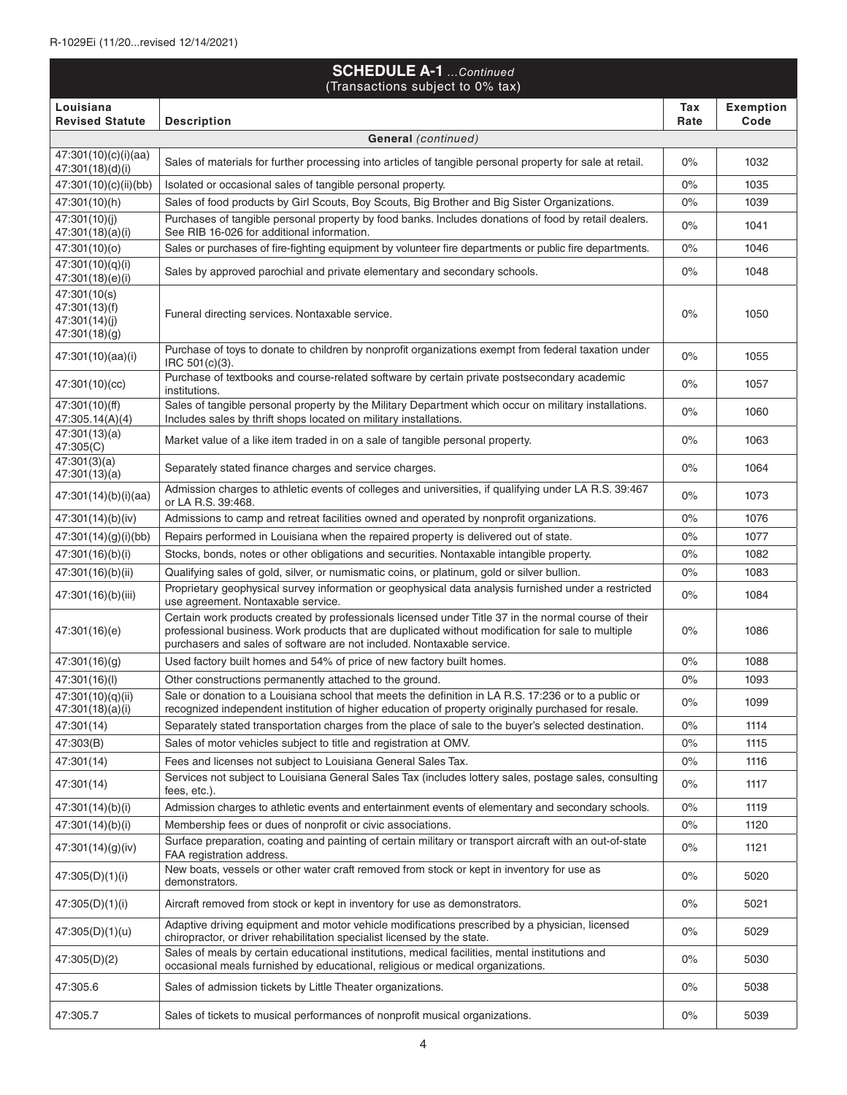|                                                                 | <b>SCHEDULE A-1</b> Continued<br>(Transactions subject to 0% tax)                                                                                                                                                                                                                    |             |                          |
|-----------------------------------------------------------------|--------------------------------------------------------------------------------------------------------------------------------------------------------------------------------------------------------------------------------------------------------------------------------------|-------------|--------------------------|
| Louisiana<br><b>Revised Statute</b>                             | <b>Description</b>                                                                                                                                                                                                                                                                   | Tax<br>Rate | <b>Exemption</b><br>Code |
|                                                                 | <b>General</b> (continued)                                                                                                                                                                                                                                                           |             |                          |
| 47:301(10)(c)(i)(aa)<br>47:301(18)(d)(i)                        | Sales of materials for further processing into articles of tangible personal property for sale at retail.                                                                                                                                                                            | $0\%$       | 1032                     |
| 47:301(10)(c)(ii)(bb)                                           | Isolated or occasional sales of tangible personal property.                                                                                                                                                                                                                          | $0\%$       | 1035                     |
| 47:301(10)(h)                                                   | Sales of food products by Girl Scouts, Boy Scouts, Big Brother and Big Sister Organizations.                                                                                                                                                                                         | 0%          | 1039                     |
| 47:301(10)(j)<br>47:301(18)(a)(i)                               | Purchases of tangible personal property by food banks. Includes donations of food by retail dealers.<br>See RIB 16-026 for additional information.                                                                                                                                   | $0\%$       | 1041                     |
| 47:301(10)(o)                                                   | Sales or purchases of fire-fighting equipment by volunteer fire departments or public fire departments.                                                                                                                                                                              | 0%          | 1046                     |
| 47:301(10)(q)(i)<br>47:301(18)(e)(i)                            | Sales by approved parochial and private elementary and secondary schools.                                                                                                                                                                                                            | $0\%$       | 1048                     |
| 47:301(10(s)<br>47:301(13)(f)<br>47:301(14)(j)<br>47:301(18)(g) | Funeral directing services. Nontaxable service.                                                                                                                                                                                                                                      | 0%          | 1050                     |
| 47:301(10)(aa)(i)                                               | Purchase of toys to donate to children by nonprofit organizations exempt from federal taxation under<br>IRC 501(c)(3).                                                                                                                                                               | 0%          | 1055                     |
| 47:301(10)(cc)                                                  | Purchase of textbooks and course-related software by certain private postsecondary academic<br>institutions.                                                                                                                                                                         | 0%          | 1057                     |
| 47:301(10)(ff)<br>47:305.14(A)(4)                               | Sales of tangible personal property by the Military Department which occur on military installations.<br>Includes sales by thrift shops located on military installations.                                                                                                           | 0%          | 1060                     |
| 47:301(13)(a)<br>47:305(C)                                      | Market value of a like item traded in on a sale of tangible personal property.                                                                                                                                                                                                       | $0\%$       | 1063                     |
| 47:301(3)(a)<br>47:301(13)(a)                                   | Separately stated finance charges and service charges.                                                                                                                                                                                                                               | $0\%$       | 1064                     |
| 47:301(14)(b)(i)(aa)                                            | Admission charges to athletic events of colleges and universities, if qualifying under LA R.S. 39:467<br>or LA R.S. 39:468.                                                                                                                                                          | $0\%$       | 1073                     |
| 47:301(14)(b)(iv)                                               | Admissions to camp and retreat facilities owned and operated by nonprofit organizations.                                                                                                                                                                                             | $0\%$       | 1076                     |
| 47:301(14)(g)(i)(bb)                                            | Repairs performed in Louisiana when the repaired property is delivered out of state.                                                                                                                                                                                                 | 0%          | 1077                     |
| 47:301(16)(b)(i)                                                | Stocks, bonds, notes or other obligations and securities. Nontaxable intangible property.                                                                                                                                                                                            | 0%          | 1082                     |
| 47:301(16)(b)(ii)                                               | Qualifying sales of gold, silver, or numismatic coins, or platinum, gold or silver bullion.                                                                                                                                                                                          | 0%          | 1083                     |
| 47:301(16)(b)(iii)                                              | Proprietary geophysical survey information or geophysical data analysis furnished under a restricted<br>use agreement. Nontaxable service.                                                                                                                                           | $0\%$       | 1084                     |
| 47:301(16)(e)                                                   | Certain work products created by professionals licensed under Title 37 in the normal course of their<br>professional business. Work products that are duplicated without modification for sale to multiple<br>purchasers and sales of software are not included. Nontaxable service. | $0\%$       | 1086                     |
| 47:301(16)(g)                                                   | Used factory built homes and 54% of price of new factory built homes.                                                                                                                                                                                                                | $0\%$       | 1088                     |
| 47:301(16)(l)                                                   | Other constructions permanently attached to the ground.                                                                                                                                                                                                                              | $0\%$       | 1093                     |
| 47:301(10)(q)(ii)<br>47:301(18)(a)(i)                           | Sale or donation to a Louisiana school that meets the definition in LA R.S. 17:236 or to a public or<br>recognized independent institution of higher education of property originally purchased for resale.                                                                          | $0\%$       | 1099                     |
| 47:301(14)                                                      | Separately stated transportation charges from the place of sale to the buyer's selected destination.                                                                                                                                                                                 | 0%          | 1114                     |
| 47:303(B)                                                       | Sales of motor vehicles subject to title and registration at OMV.                                                                                                                                                                                                                    | 0%          | 1115                     |
| 47:301(14)                                                      | Fees and licenses not subject to Louisiana General Sales Tax.                                                                                                                                                                                                                        | $0\%$       | 1116                     |
| 47:301(14)                                                      | Services not subject to Louisiana General Sales Tax (includes lottery sales, postage sales, consulting<br>fees, etc.).                                                                                                                                                               | $0\%$       | 1117                     |
| 47:301(14)(b)(i)                                                | Admission charges to athletic events and entertainment events of elementary and secondary schools.                                                                                                                                                                                   | $0\%$       | 1119                     |
| 47:301(14)(b)(i)                                                | Membership fees or dues of nonprofit or civic associations.                                                                                                                                                                                                                          | 0%          | 1120                     |
| 47:301(14)(g)(iv)                                               | Surface preparation, coating and painting of certain military or transport aircraft with an out-of-state<br>FAA registration address.                                                                                                                                                | $0\%$       | 1121                     |
| 47:305(D)(1)(i)                                                 | New boats, vessels or other water craft removed from stock or kept in inventory for use as<br>demonstrators.                                                                                                                                                                         | 0%          | 5020                     |
| 47:305(D)(1)(i)                                                 | Aircraft removed from stock or kept in inventory for use as demonstrators.                                                                                                                                                                                                           | 0%          | 5021                     |
| 47:305(D)(1)(u)                                                 | Adaptive driving equipment and motor vehicle modifications prescribed by a physician, licensed<br>chiropractor, or driver rehabilitation specialist licensed by the state.                                                                                                           | $0\%$       | 5029                     |
| 47:305(D)(2)                                                    | Sales of meals by certain educational institutions, medical facilities, mental institutions and<br>occasional meals furnished by educational, religious or medical organizations.                                                                                                    | 0%          | 5030                     |
| 47:305.6                                                        | Sales of admission tickets by Little Theater organizations.                                                                                                                                                                                                                          | $0\%$       | 5038                     |
| 47:305.7                                                        | Sales of tickets to musical performances of nonprofit musical organizations.                                                                                                                                                                                                         | 0%          | 5039                     |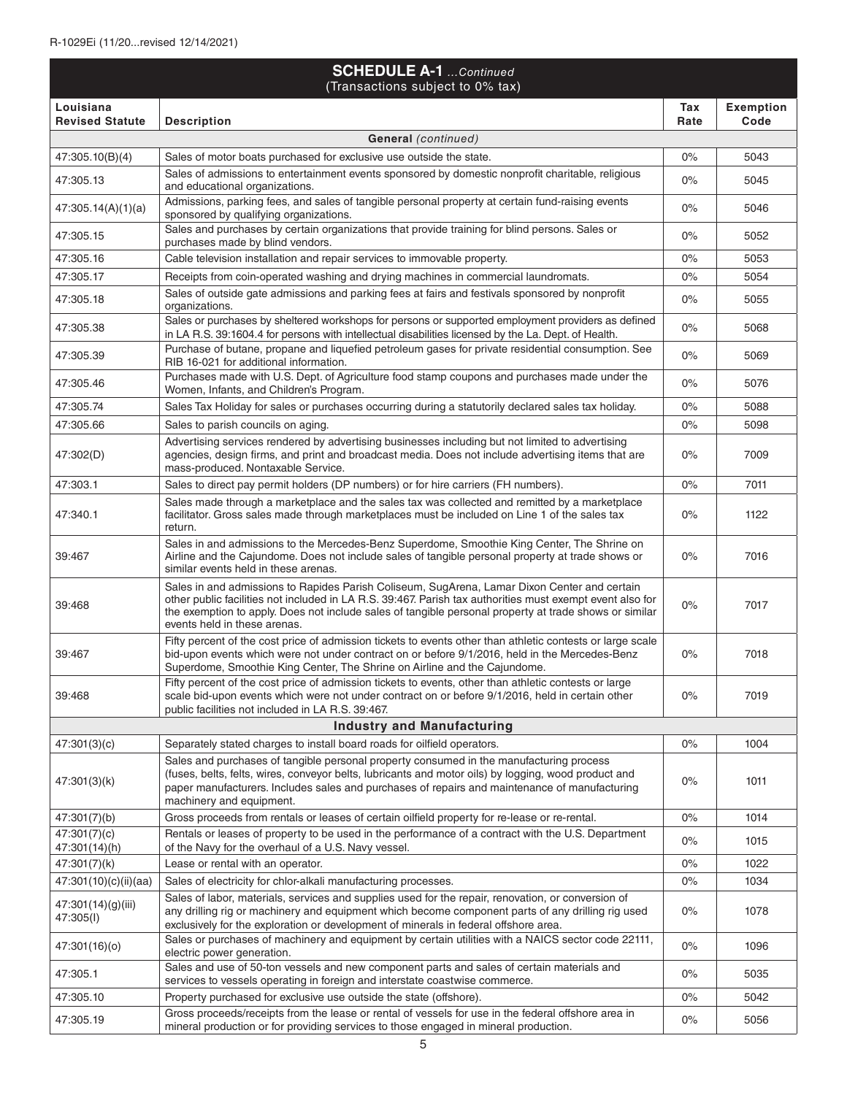| <b>SCHEDULE A-1</b> Continued<br>(Transactions subject to 0% tax) |                                                                                                                                                                                                                                                                                                                                                     |             |                          |
|-------------------------------------------------------------------|-----------------------------------------------------------------------------------------------------------------------------------------------------------------------------------------------------------------------------------------------------------------------------------------------------------------------------------------------------|-------------|--------------------------|
| Louisiana<br><b>Revised Statute</b>                               | <b>Description</b>                                                                                                                                                                                                                                                                                                                                  | Tax<br>Rate | <b>Exemption</b><br>Code |
|                                                                   | General (continued)                                                                                                                                                                                                                                                                                                                                 |             |                          |
| 47:305.10(B)(4)                                                   | Sales of motor boats purchased for exclusive use outside the state.                                                                                                                                                                                                                                                                                 | $0\%$       | 5043                     |
| 47:305.13                                                         | Sales of admissions to entertainment events sponsored by domestic nonprofit charitable, religious<br>and educational organizations.                                                                                                                                                                                                                 | 0%          | 5045                     |
| 47:305.14(A)(1)(a)                                                | Admissions, parking fees, and sales of tangible personal property at certain fund-raising events<br>sponsored by qualifying organizations.                                                                                                                                                                                                          | $0\%$       | 5046                     |
| 47:305.15                                                         | Sales and purchases by certain organizations that provide training for blind persons. Sales or<br>purchases made by blind vendors.                                                                                                                                                                                                                  | 0%          | 5052                     |
| 47:305.16                                                         | Cable television installation and repair services to immovable property.                                                                                                                                                                                                                                                                            | 0%          | 5053                     |
| 47:305.17                                                         | Receipts from coin-operated washing and drying machines in commercial laundromats.                                                                                                                                                                                                                                                                  | $0\%$       | 5054                     |
| 47:305.18                                                         | Sales of outside gate admissions and parking fees at fairs and festivals sponsored by nonprofit<br>organizations.                                                                                                                                                                                                                                   | $0\%$       | 5055                     |
| 47:305.38                                                         | Sales or purchases by sheltered workshops for persons or supported employment providers as defined<br>in LA R.S. 39:1604.4 for persons with intellectual disabilities licensed by the La. Dept. of Health.                                                                                                                                          | $0\%$       | 5068                     |
| 47:305.39                                                         | Purchase of butane, propane and liquefied petroleum gases for private residential consumption. See<br>RIB 16-021 for additional information.                                                                                                                                                                                                        | $0\%$       | 5069                     |
| 47:305.46                                                         | Purchases made with U.S. Dept. of Agriculture food stamp coupons and purchases made under the<br>Women, Infants, and Children's Program.                                                                                                                                                                                                            | $0\%$       | 5076                     |
| 47:305.74                                                         | Sales Tax Holiday for sales or purchases occurring during a statutorily declared sales tax holiday.                                                                                                                                                                                                                                                 | $0\%$       | 5088                     |
| 47:305.66                                                         | Sales to parish councils on aging.                                                                                                                                                                                                                                                                                                                  | 0%          | 5098                     |
| 47:302(D)                                                         | Advertising services rendered by advertising businesses including but not limited to advertising<br>agencies, design firms, and print and broadcast media. Does not include advertising items that are<br>mass-produced. Nontaxable Service.                                                                                                        | $0\%$       | 7009                     |
| 47:303.1                                                          | Sales to direct pay permit holders (DP numbers) or for hire carriers (FH numbers).                                                                                                                                                                                                                                                                  | 0%          | 7011                     |
| 47:340.1                                                          | Sales made through a marketplace and the sales tax was collected and remitted by a marketplace<br>facilitator. Gross sales made through marketplaces must be included on Line 1 of the sales tax<br>return.                                                                                                                                         | $0\%$       | 1122                     |
| 39:467                                                            | Sales in and admissions to the Mercedes-Benz Superdome, Smoothie King Center, The Shrine on<br>Airline and the Cajundome. Does not include sales of tangible personal property at trade shows or<br>similar events held in these arenas.                                                                                                            | $0\%$       | 7016                     |
| 39:468                                                            | Sales in and admissions to Rapides Parish Coliseum, SugArena, Lamar Dixon Center and certain<br>other public facilities not included in LA R.S. 39:467. Parish tax authorities must exempt event also for<br>the exemption to apply. Does not include sales of tangible personal property at trade shows or similar<br>events held in these arenas. | 0%          | 7017                     |
| 39:467                                                            | Fifty percent of the cost price of admission tickets to events other than athletic contests or large scale<br>bid-upon events which were not under contract on or before 9/1/2016, held in the Mercedes-Benz<br>Superdome, Smoothie King Center, The Shrine on Airline and the Cajundome.                                                           | $0\%$       | 7018                     |
| 39:468                                                            | Fifty percent of the cost price of admission tickets to events, other than athletic contests or large<br>scale bid-upon events which were not under contract on or before 9/1/2016, held in certain other<br>public facilities not included in LA R.S. 39:467.                                                                                      | $0\%$       | 7019                     |
|                                                                   | <b>Industry and Manufacturing</b>                                                                                                                                                                                                                                                                                                                   |             |                          |
| 47:301(3)(c)                                                      | Separately stated charges to install board roads for oilfield operators.                                                                                                                                                                                                                                                                            | $0\%$       | 1004                     |
| 47:301(3)(k)                                                      | Sales and purchases of tangible personal property consumed in the manufacturing process<br>(fuses, belts, felts, wires, conveyor belts, lubricants and motor oils) by logging, wood product and<br>paper manufacturers. Includes sales and purchases of repairs and maintenance of manufacturing<br>machinery and equipment.                        | $0\%$       | 1011                     |
| 47:301(7)(b)                                                      | Gross proceeds from rentals or leases of certain oilfield property for re-lease or re-rental.                                                                                                                                                                                                                                                       | $0\%$       | 1014                     |
| 47:301(7)(c)<br>47:301(14)(h)                                     | Rentals or leases of property to be used in the performance of a contract with the U.S. Department<br>of the Navy for the overhaul of a U.S. Navy vessel.                                                                                                                                                                                           | 0%          | 1015                     |
| 47:301(7)(k)                                                      | Lease or rental with an operator.                                                                                                                                                                                                                                                                                                                   | $0\%$       | 1022                     |
| 47:301(10)(c)(ii)(aa)                                             | Sales of electricity for chlor-alkali manufacturing processes.                                                                                                                                                                                                                                                                                      | 0%          | 1034                     |
| 47:301(14)(g)(iii)<br>47:305(I)                                   | Sales of labor, materials, services and supplies used for the repair, renovation, or conversion of<br>any drilling rig or machinery and equipment which become component parts of any drilling rig used<br>exclusively for the exploration or development of minerals in federal offshore area.                                                     | $0\%$       | 1078                     |
| 47:301(16)(o)                                                     | Sales or purchases of machinery and equipment by certain utilities with a NAICS sector code 22111,<br>electric power generation.                                                                                                                                                                                                                    | $0\%$       | 1096                     |
| 47:305.1                                                          | Sales and use of 50-ton vessels and new component parts and sales of certain materials and<br>services to vessels operating in foreign and interstate coastwise commerce.                                                                                                                                                                           | $0\%$       | 5035                     |
| 47:305.10                                                         | Property purchased for exclusive use outside the state (offshore).                                                                                                                                                                                                                                                                                  | 0%          | 5042                     |
| 47:305.19                                                         | Gross proceeds/receipts from the lease or rental of vessels for use in the federal offshore area in<br>mineral production or for providing services to those engaged in mineral production.                                                                                                                                                         | $0\%$       | 5056                     |